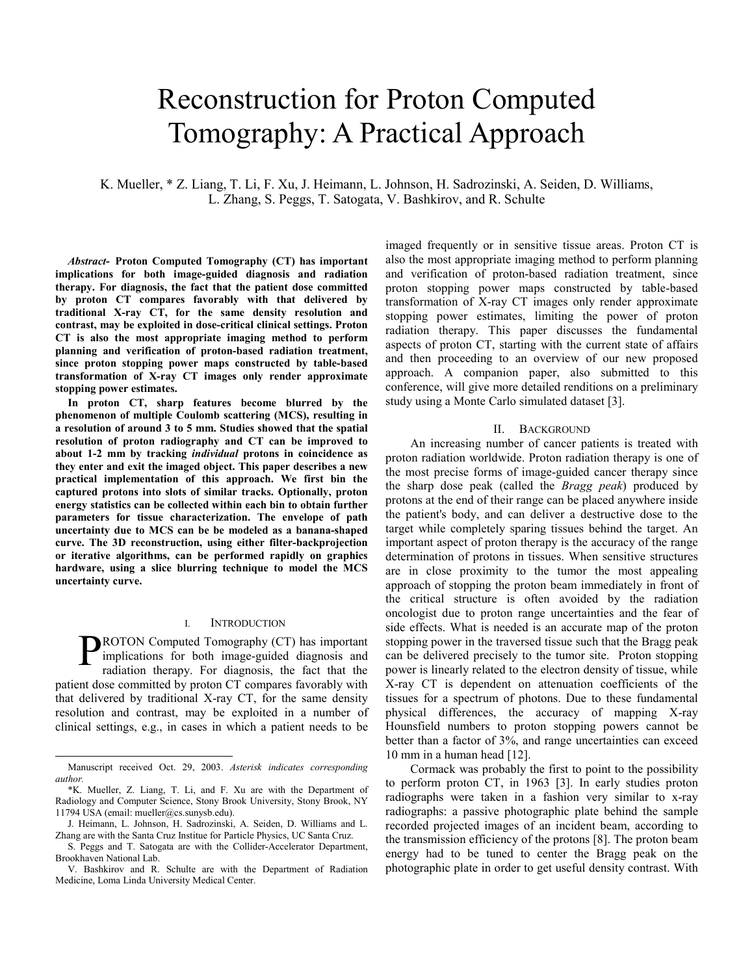# Reconstruction for Proton Computed Tomography: A Practical Approach

K. Mueller, \* Z. Liang, T. Li, F. Xu, J. Heimann, L. Johnson, H. Sadrozinski, A. Seiden, D. Williams, L. Zhang, S. Peggs, T. Satogata, V. Bashkirov, and R. Schulte

*Abstract***- Proton Computed Tomography (CT) has important implications for both image-guided diagnosis and radiation therapy. For diagnosis, the fact that the patient dose committed by proton CT compares favorably with that delivered by traditional X-ray CT, for the same density resolution and contrast, may be exploited in dose-critical clinical settings. Proton CT is also the most appropriate imaging method to perform planning and verification of proton-based radiation treatment, since proton stopping power maps constructed by table-based transformation of X-ray CT images only render approximate stopping power estimates.** 

**In proton CT, sharp features become blurred by the phenomenon of multiple Coulomb scattering (MCS), resulting in a resolution of around 3 to 5 mm. Studies showed that the spatial resolution of proton radiography and CT can be improved to about 1-2 mm by tracking** *individual* **protons in coincidence as they enter and exit the imaged object. This paper describes a new practical implementation of this approach. We first bin the captured protons into slots of similar tracks. Optionally, proton energy statistics can be collected within each bin to obtain further parameters for tissue characterization. The envelope of path uncertainty due to MCS can be be modeled as a banana-shaped curve. The 3D reconstruction, using either filter-backprojection or iterative algorithms, can be performed rapidly on graphics hardware, using a slice blurring technique to model the MCS uncertainty curve.** 

#### I. INTRODUCTION

**PROTON Computed Tomography (CT) has important**<br>
implications for both image-guided diagnosis and<br>
radiation therapy. For diagnosis, the fact that the implications for both image-guided diagnosis and radiation therapy. For diagnosis, the fact that the patient dose committed by proton CT compares favorably with that delivered by traditional X-ray CT, for the same density resolution and contrast, may be exploited in a number of clinical settings, e.g., in cases in which a patient needs to be

imaged frequently or in sensitive tissue areas. Proton CT is also the most appropriate imaging method to perform planning and verification of proton-based radiation treatment, since proton stopping power maps constructed by table-based transformation of X-ray CT images only render approximate stopping power estimates, limiting the power of proton radiation therapy. This paper discusses the fundamental aspects of proton CT, starting with the current state of affairs and then proceeding to an overview of our new proposed approach. A companion paper, also submitted to this conference, will give more detailed renditions on a preliminary study using a Monte Carlo simulated dataset [3].

# II. BACKGROUND

An increasing number of cancer patients is treated with proton radiation worldwide. Proton radiation therapy is one of the most precise forms of image-guided cancer therapy since the sharp dose peak (called the *Bragg peak*) produced by protons at the end of their range can be placed anywhere inside the patient's body, and can deliver a destructive dose to the target while completely sparing tissues behind the target. An important aspect of proton therapy is the accuracy of the range determination of protons in tissues. When sensitive structures are in close proximity to the tumor the most appealing approach of stopping the proton beam immediately in front of the critical structure is often avoided by the radiation oncologist due to proton range uncertainties and the fear of side effects. What is needed is an accurate map of the proton stopping power in the traversed tissue such that the Bragg peak can be delivered precisely to the tumor site. Proton stopping power is linearly related to the electron density of tissue, while X-ray CT is dependent on attenuation coefficients of the tissues for a spectrum of photons. Due to these fundamental physical differences, the accuracy of mapping X-ray Hounsfield numbers to proton stopping powers cannot be better than a factor of 3%, and range uncertainties can exceed 10 mm in a human head [12].

Cormack was probably the first to point to the possibility to perform proton CT, in 1963 [3]. In early studies proton radiographs were taken in a fashion very similar to x-ray radiographs: a passive photographic plate behind the sample recorded projected images of an incident beam, according to the transmission efficiency of the protons [8]. The proton beam energy had to be tuned to center the Bragg peak on the photographic plate in order to get useful density contrast. With

Manuscript received Oct. 29, 2003. *Asterisk indicates corresponding author.*

<sup>\*</sup>K. Mueller, Z. Liang, T. Li, and F. Xu are with the Department of Radiology and Computer Science, Stony Brook University, Stony Brook, NY 11794 USA (email: mueller@cs.sunysb.edu).

J. Heimann, L. Johnson, H. Sadrozinski, A. Seiden, D. Williams and L. Zhang are with the Santa Cruz Institue for Particle Physics, UC Santa Cruz.

S. Peggs and T. Satogata are with the Collider-Accelerator Department, Brookhaven National Lab.

V. Bashkirov and R. Schulte are with the Department of Radiation Medicine, Loma Linda University Medical Center.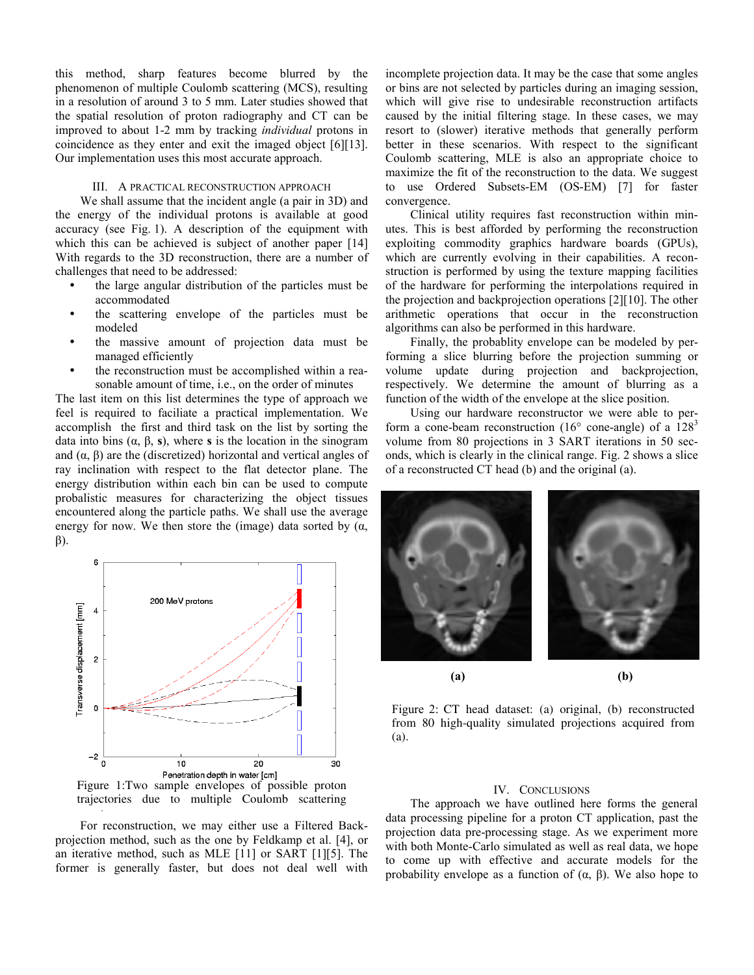this method, sharp features become blurred by the phenomenon of multiple Coulomb scattering (MCS), resulting in a resolution of around 3 to 5 mm. Later studies showed that the spatial resolution of proton radiography and CT can be improved to about 1-2 mm by tracking *individual* protons in coincidence as they enter and exit the imaged object [6][13]. Our implementation uses this most accurate approach.

## III. A PRACTICAL RECONSTRUCTION APPROACH

We shall assume that the incident angle (a pair in 3D) and the energy of the individual protons is available at good accuracy (see Fig. 1). A description of the equipment with which this can be achieved is subject of another paper [14] With regards to the 3D reconstruction, there are a number of challenges that need to be addressed:

- the large angular distribution of the particles must be accommodated
- the scattering envelope of the particles must be modeled
- the massive amount of projection data must be managed efficiently
- the reconstruction must be accomplished within a reasonable amount of time, i.e., on the order of minutes

The last item on this list determines the type of approach we feel is required to faciliate a practical implementation. We accomplish the first and third task on the list by sorting the data into bins (α, β, **s**), where **s** is the location in the sinogram and  $(\alpha, \beta)$  are the (discretized) horizontal and vertical angles of ray inclination with respect to the flat detector plane. The energy distribution within each bin can be used to compute probalistic measures for characterizing the object tissues encountered along the particle paths. We shall use the average energy for now. We then store the (image) data sorted by  $(\alpha, \beta)$ β).



For reconstruction, we may either use a Filtered Backprojection method, such as the one by Feldkamp et al. [4], or an iterative method, such as MLE [11] or SART [1][5]. The former is generally faster, but does not deal well with incomplete projection data. It may be the case that some angles or bins are not selected by particles during an imaging session, which will give rise to undesirable reconstruction artifacts caused by the initial filtering stage. In these cases, we may resort to (slower) iterative methods that generally perform better in these scenarios. With respect to the significant Coulomb scattering, MLE is also an appropriate choice to maximize the fit of the reconstruction to the data. We suggest to use Ordered Subsets-EM (OS-EM) [7] for faster convergence.

Clinical utility requires fast reconstruction within minutes. This is best afforded by performing the reconstruction exploiting commodity graphics hardware boards (GPUs), which are currently evolving in their capabilities. A reconstruction is performed by using the texture mapping facilities of the hardware for performing the interpolations required in the projection and backprojection operations [2][10]. The other arithmetic operations that occur in the reconstruction algorithms can also be performed in this hardware.

Finally, the probablity envelope can be modeled by performing a slice blurring before the projection summing or volume update during projection and backprojection, respectively. We determine the amount of blurring as a function of the width of the envelope at the slice position.

Using our hardware reconstructor we were able to perform a cone-beam reconstruction (16 $^{\circ}$  cone-angle) of a 128 $^{\circ}$ volume from 80 projections in 3 SART iterations in 50 seconds, which is clearly in the clinical range. Fig. 2 shows a slice of a reconstructed CT head (b) and the original (a).



Figure 2: CT head dataset: (a) original, (b) reconstructed from 80 high-quality simulated projections acquired from (a).

### IV. CONCLUSIONS

The approach we have outlined here forms the general data processing pipeline for a proton CT application, past the projection data pre-processing stage. As we experiment more with both Monte-Carlo simulated as well as real data, we hope to come up with effective and accurate models for the probability envelope as a function of  $(\alpha, \beta)$ . We also hope to